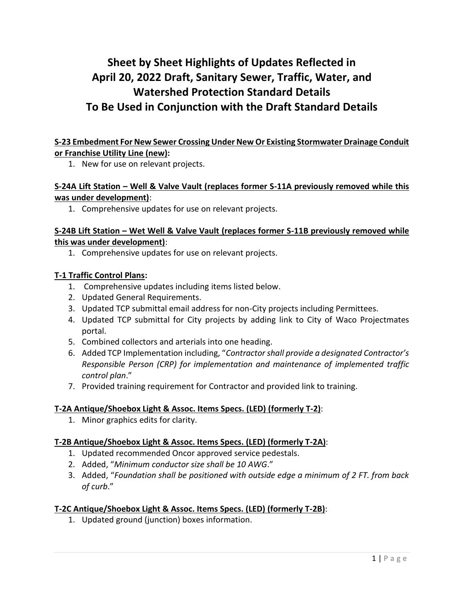# **Sheet by Sheet Highlights of Updates Reflected in April 20, 2022 Draft, Sanitary Sewer, Traffic, Water, and Watershed Protection Standard Details To Be Used in Conjunction with the Draft Standard Details**

# **S-23 Embedment For New Sewer Crossing Under New Or Existing Stormwater Drainage Conduit or Franchise Utility Line (new):**

1. New for use on relevant projects.

# **S-24A Lift Station – Well & Valve Vault (replaces former S-11A previously removed while this was under development)**:

1. Comprehensive updates for use on relevant projects.

## **S-24B Lift Station – Wet Well & Valve Vault (replaces former S-11B previously removed while this was under development)**:

1. Comprehensive updates for use on relevant projects.

## **T-1 Traffic Control Plans:**

- 1. Comprehensive updates including items listed below.
- 2. Updated General Requirements.
- 3. Updated TCP submittal email address for non-City projects including Permittees.
- 4. Updated TCP submittal for City projects by adding link to City of Waco Projectmates portal.
- 5. Combined collectors and arterials into one heading.
- 6. Added TCP Implementation including, "*Contractor shall provide a designated Contractor's Responsible Person (CRP) for implementation and maintenance of implemented traffic control plan*."
- 7. Provided training requirement for Contractor and provided link to training.

## **T-2A Antique/Shoebox Light & Assoc. Items Specs. (LED) (formerly T-2)**:

1. Minor graphics edits for clarity.

## **T-2B Antique/Shoebox Light & Assoc. Items Specs. (LED) (formerly T-2A)**:

- 1. Updated recommended Oncor approved service pedestals.
- 2. Added, "*Minimum conductor size shall be 10 AWG*."
- 3. Added, "*Foundation shall be positioned with outside edge a minimum of 2 FT. from back of curb*."

## **T-2C Antique/Shoebox Light & Assoc. Items Specs. (LED) (formerly T-2B)**:

1. Updated ground (junction) boxes information.